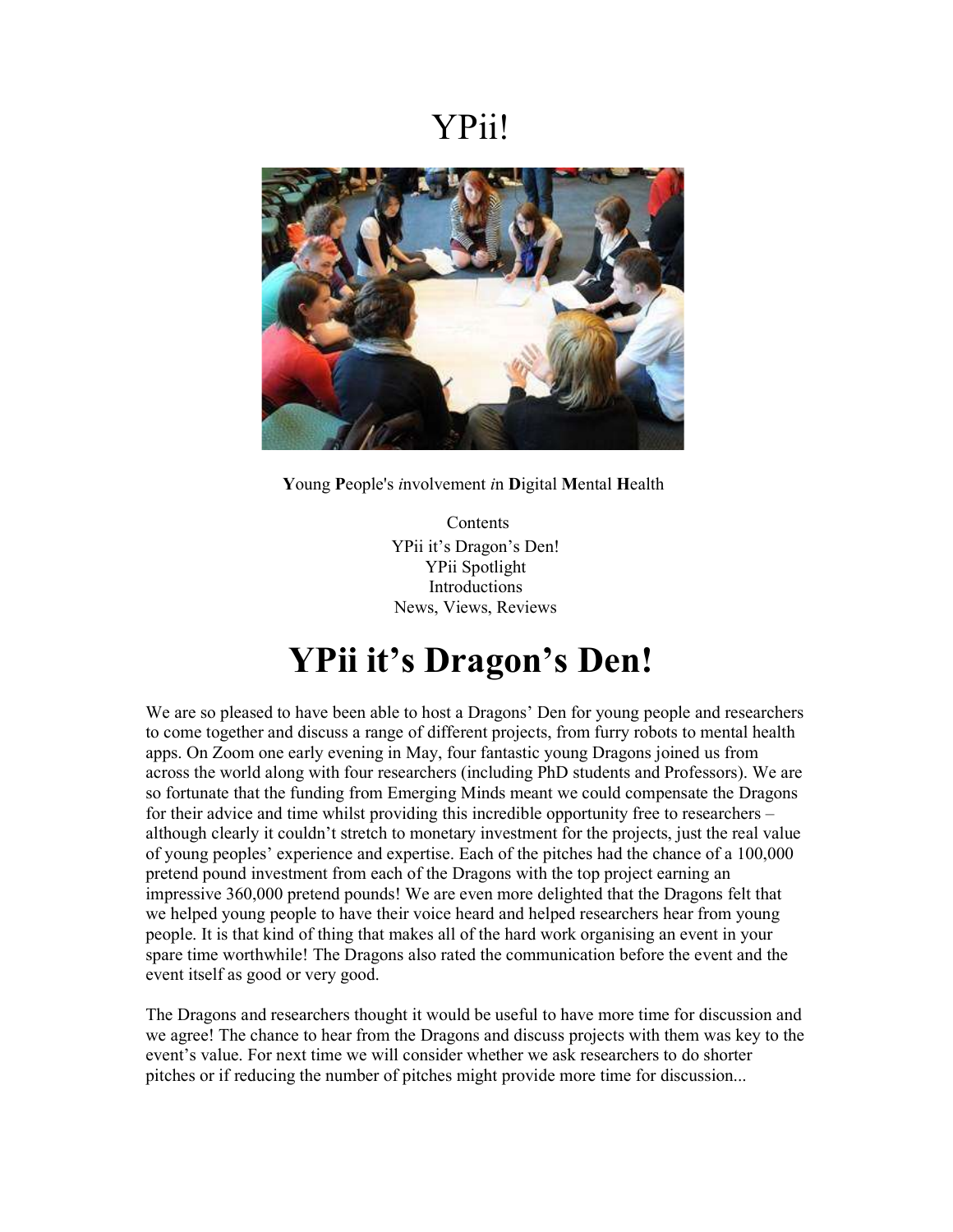### YPii!



Young People's involvement in Digital Mental Health

Contents YPii it's Dragon's Den! YPii Spotlight Introductions News, Views, Reviews

# YPii it's Dragon's Den!

We are so pleased to have been able to host a Dragons' Den for young people and researchers to come together and discuss a range of different projects, from furry robots to mental health apps. On Zoom one early evening in May, four fantastic young Dragons joined us from across the world along with four researchers (including PhD students and Professors). We are so fortunate that the funding from Emerging Minds meant we could compensate the Dragons for their advice and time whilst providing this incredible opportunity free to researchers – although clearly it couldn't stretch to monetary investment for the projects, just the real value of young peoples' experience and expertise. Each of the pitches had the chance of a 100,000 pretend pound investment from each of the Dragons with the top project earning an impressive 360,000 pretend pounds! We are even more delighted that the Dragons felt that we helped young people to have their voice heard and helped researchers hear from young people. It is that kind of thing that makes all of the hard work organising an event in your spare time worthwhile! The Dragons also rated the communication before the event and the event itself as good or very good.

The Dragons and researchers thought it would be useful to have more time for discussion and we agree! The chance to hear from the Dragons and discuss projects with them was key to the event's value. For next time we will consider whether we ask researchers to do shorter pitches or if reducing the number of pitches might provide more time for discussion...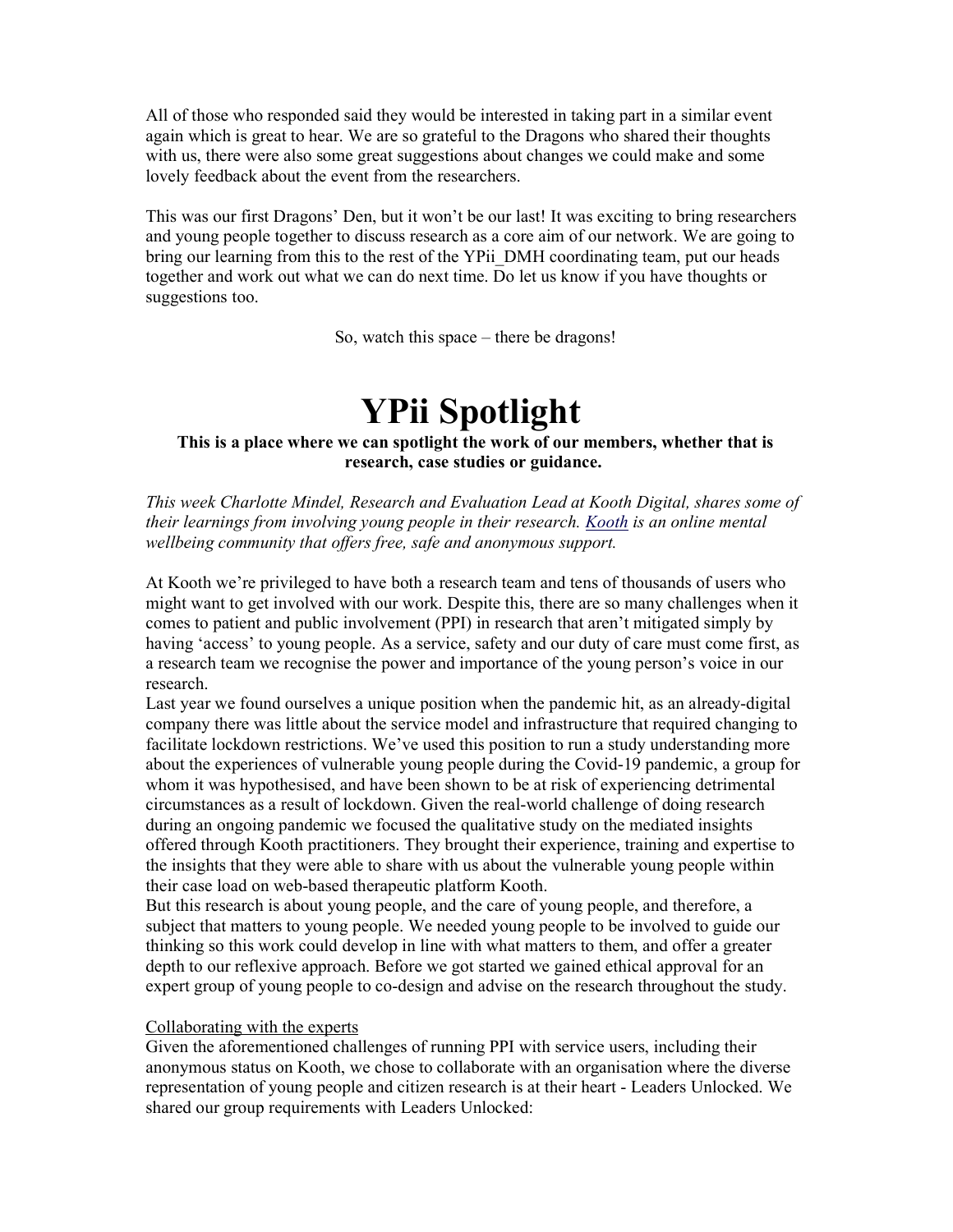All of those who responded said they would be interested in taking part in a similar event again which is great to hear. We are so grateful to the Dragons who shared their thoughts with us, there were also some great suggestions about changes we could make and some lovely feedback about the event from the researchers.

This was our first Dragons' Den, but it won't be our last! It was exciting to bring researchers and young people together to discuss research as a core aim of our network. We are going to bring our learning from this to the rest of the YPii\_DMH coordinating team, put our heads together and work out what we can do next time. Do let us know if you have thoughts or suggestions too.

So, watch this space – there be dragons!

## YPii Spotlight

### This is a place where we can spotlight the work of our members, whether that is research, case studies or guidance.

This week Charlotte Mindel, Research and Evaluation Lead at Kooth Digital, shares some of their learnings from involving young people in their research. Kooth is an online mental wellbeing community that offers free, safe and anonymous support.

At Kooth we're privileged to have both a research team and tens of thousands of users who might want to get involved with our work. Despite this, there are so many challenges when it comes to patient and public involvement (PPI) in research that aren't mitigated simply by having 'access' to young people. As a service, safety and our duty of care must come first, as a research team we recognise the power and importance of the young person's voice in our research.

Last year we found ourselves a unique position when the pandemic hit, as an already-digital company there was little about the service model and infrastructure that required changing to facilitate lockdown restrictions. We've used this position to run a study understanding more about the experiences of vulnerable young people during the Covid-19 pandemic, a group for whom it was hypothesised, and have been shown to be at risk of experiencing detrimental circumstances as a result of lockdown. Given the real-world challenge of doing research during an ongoing pandemic we focused the qualitative study on the mediated insights offered through Kooth practitioners. They brought their experience, training and expertise to the insights that they were able to share with us about the vulnerable young people within their case load on web-based therapeutic platform Kooth.

But this research is about young people, and the care of young people, and therefore, a subject that matters to young people. We needed young people to be involved to guide our thinking so this work could develop in line with what matters to them, and offer a greater depth to our reflexive approach. Before we got started we gained ethical approval for an expert group of young people to co-design and advise on the research throughout the study.

### Collaborating with the experts

Given the aforementioned challenges of running PPI with service users, including their anonymous status on Kooth, we chose to collaborate with an organisation where the diverse representation of young people and citizen research is at their heart - Leaders Unlocked. We shared our group requirements with Leaders Unlocked: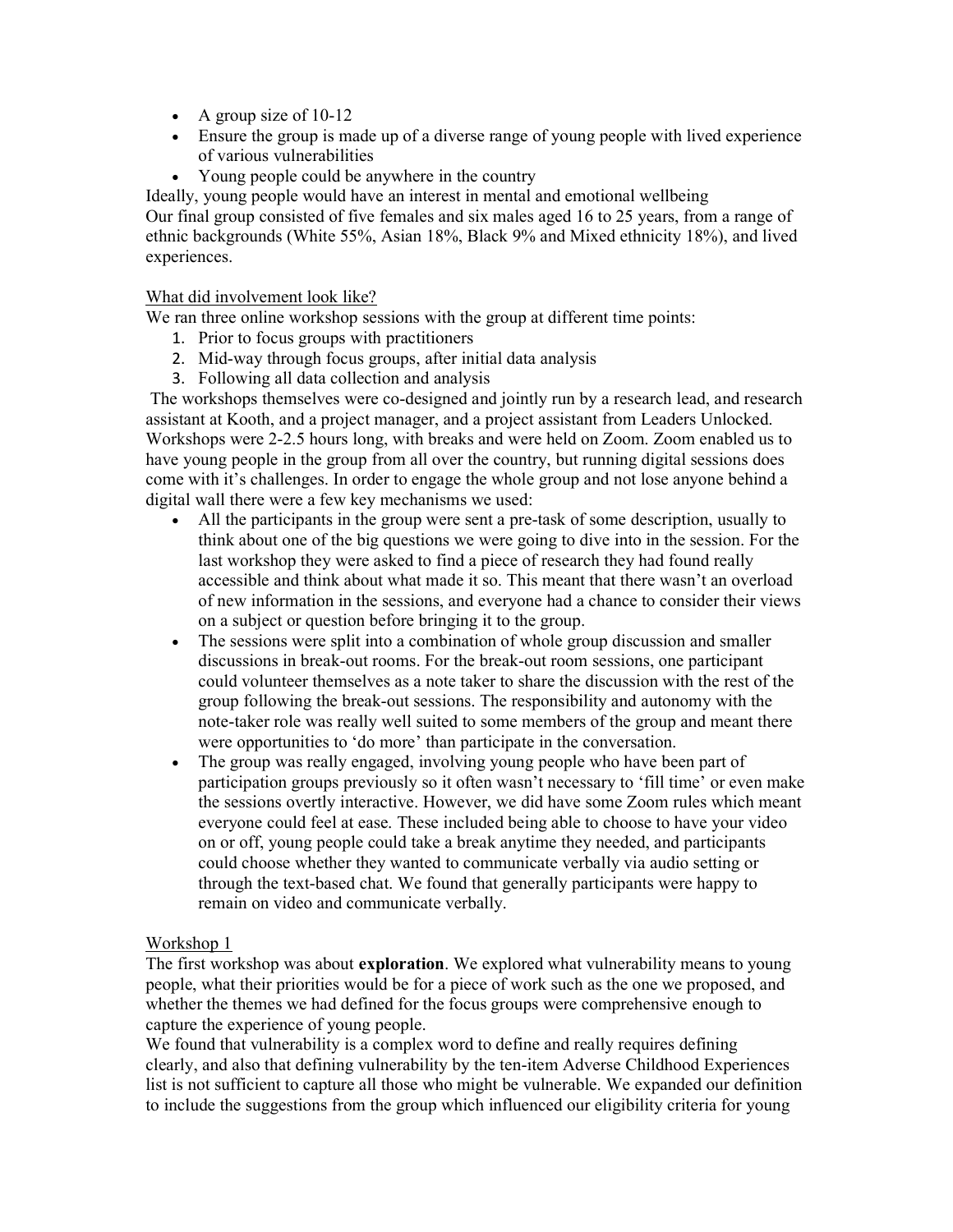- A group size of  $10-12$
- Ensure the group is made up of a diverse range of young people with lived experience of various vulnerabilities
- Young people could be anywhere in the country

Ideally, young people would have an interest in mental and emotional wellbeing Our final group consisted of five females and six males aged 16 to 25 years, from a range of ethnic backgrounds (White 55%, Asian 18%, Black 9% and Mixed ethnicity 18%), and lived experiences.

### What did involvement look like?

We ran three online workshop sessions with the group at different time points:

- 1. Prior to focus groups with practitioners
- 2. Mid-way through focus groups, after initial data analysis
- 3. Following all data collection and analysis

 The workshops themselves were co-designed and jointly run by a research lead, and research assistant at Kooth, and a project manager, and a project assistant from Leaders Unlocked. Workshops were 2-2.5 hours long, with breaks and were held on Zoom. Zoom enabled us to have young people in the group from all over the country, but running digital sessions does come with it's challenges. In order to engage the whole group and not lose anyone behind a digital wall there were a few key mechanisms we used:

- All the participants in the group were sent a pre-task of some description, usually to think about one of the big questions we were going to dive into in the session. For the last workshop they were asked to find a piece of research they had found really accessible and think about what made it so. This meant that there wasn't an overload of new information in the sessions, and everyone had a chance to consider their views on a subject or question before bringing it to the group.
- The sessions were split into a combination of whole group discussion and smaller discussions in break-out rooms. For the break-out room sessions, one participant could volunteer themselves as a note taker to share the discussion with the rest of the group following the break-out sessions. The responsibility and autonomy with the note-taker role was really well suited to some members of the group and meant there were opportunities to 'do more' than participate in the conversation.
- The group was really engaged, involving young people who have been part of participation groups previously so it often wasn't necessary to 'fill time' or even make the sessions overtly interactive. However, we did have some Zoom rules which meant everyone could feel at ease. These included being able to choose to have your video on or off, young people could take a break anytime they needed, and participants could choose whether they wanted to communicate verbally via audio setting or through the text-based chat. We found that generally participants were happy to remain on video and communicate verbally.

### Workshop 1

The first workshop was about **exploration**. We explored what vulnerability means to young people, what their priorities would be for a piece of work such as the one we proposed, and whether the themes we had defined for the focus groups were comprehensive enough to capture the experience of young people.

We found that vulnerability is a complex word to define and really requires defining clearly, and also that defining vulnerability by the ten-item Adverse Childhood Experiences list is not sufficient to capture all those who might be vulnerable. We expanded our definition to include the suggestions from the group which influenced our eligibility criteria for young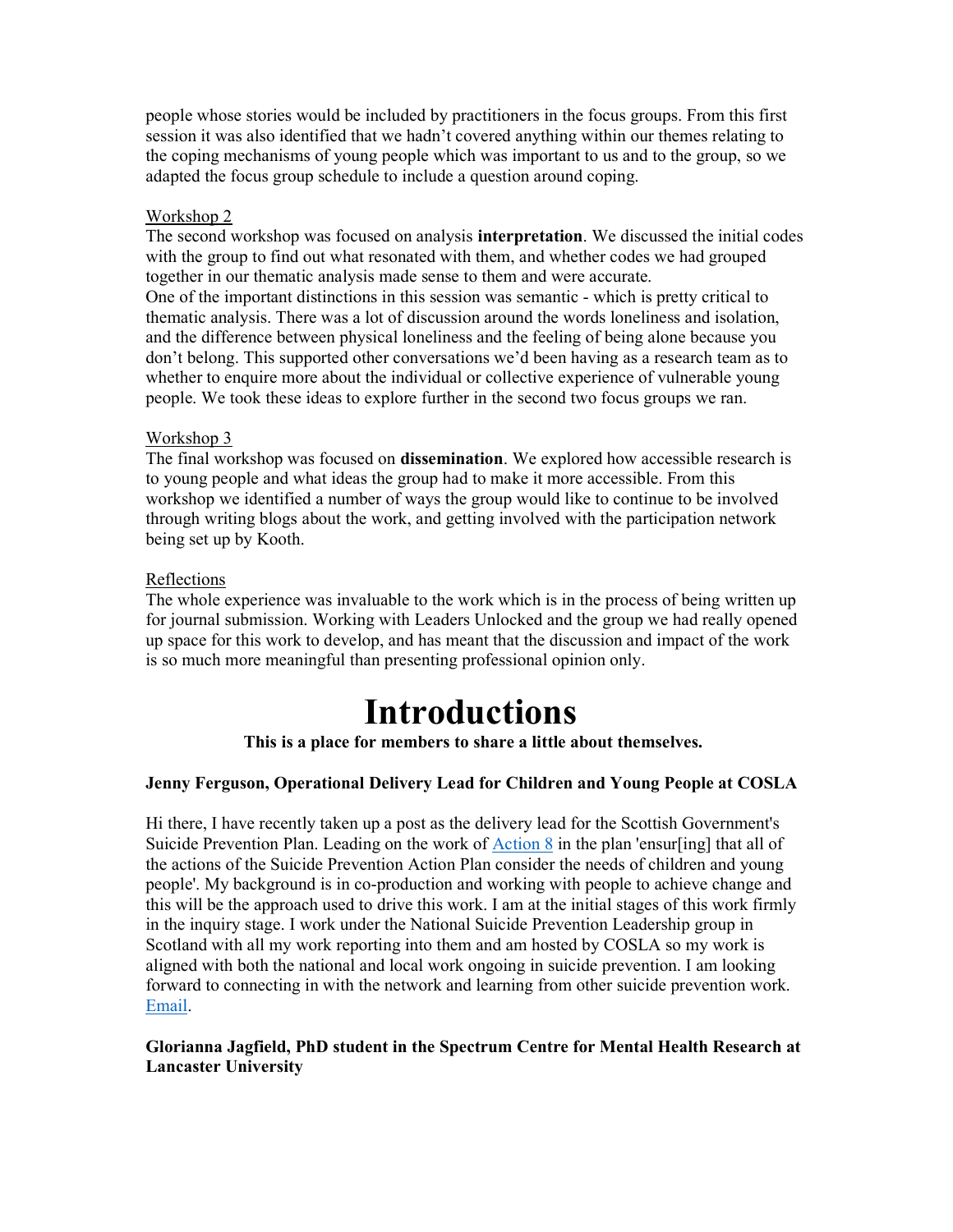people whose stories would be included by practitioners in the focus groups. From this first session it was also identified that we hadn't covered anything within our themes relating to the coping mechanisms of young people which was important to us and to the group, so we adapted the focus group schedule to include a question around coping.

### Workshop 2

The second workshop was focused on analysis interpretation. We discussed the initial codes with the group to find out what resonated with them, and whether codes we had grouped together in our thematic analysis made sense to them and were accurate. One of the important distinctions in this session was semantic - which is pretty critical to thematic analysis. There was a lot of discussion around the words loneliness and isolation, and the difference between physical loneliness and the feeling of being alone because you don't belong. This supported other conversations we'd been having as a research team as to whether to enquire more about the individual or collective experience of vulnerable young people. We took these ideas to explore further in the second two focus groups we ran.

### Workshop 3

The final workshop was focused on dissemination. We explored how accessible research is to young people and what ideas the group had to make it more accessible. From this workshop we identified a number of ways the group would like to continue to be involved through writing blogs about the work, and getting involved with the participation network being set up by Kooth.

### Reflections

The whole experience was invaluable to the work which is in the process of being written up for journal submission. Working with Leaders Unlocked and the group we had really opened up space for this work to develop, and has meant that the discussion and impact of the work is so much more meaningful than presenting professional opinion only.

# Introductions

This is a place for members to share a little about themselves.

### Jenny Ferguson, Operational Delivery Lead for Children and Young People at COSLA

Hi there, I have recently taken up a post as the delivery lead for the Scottish Government's Suicide Prevention Plan. Leading on the work of Action 8 in the plan 'ensur[ing] that all of the actions of the Suicide Prevention Action Plan consider the needs of children and young people'. My background is in co-production and working with people to achieve change and this will be the approach used to drive this work. I am at the initial stages of this work firmly in the inquiry stage. I work under the National Suicide Prevention Leadership group in Scotland with all my work reporting into them and am hosted by COSLA so my work is aligned with both the national and local work ongoing in suicide prevention. I am looking forward to connecting in with the network and learning from other suicide prevention work. Email.

### Glorianna Jagfield, PhD student in the Spectrum Centre for Mental Health Research at Lancaster University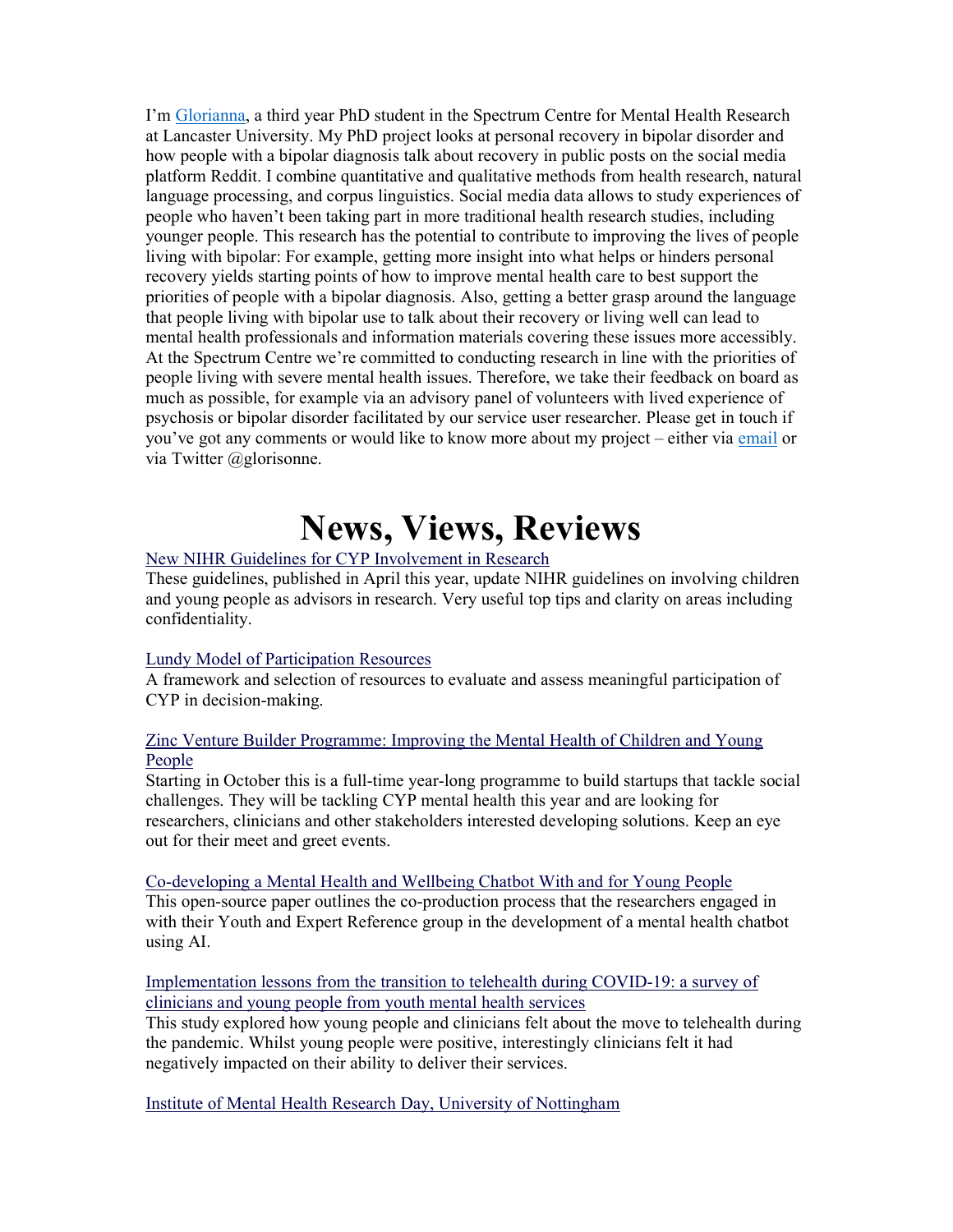I'm Glorianna, a third year PhD student in the Spectrum Centre for Mental Health Research at Lancaster University. My PhD project looks at personal recovery in bipolar disorder and how people with a bipolar diagnosis talk about recovery in public posts on the social media platform Reddit. I combine quantitative and qualitative methods from health research, natural language processing, and corpus linguistics. Social media data allows to study experiences of people who haven't been taking part in more traditional health research studies, including younger people. This research has the potential to contribute to improving the lives of people living with bipolar: For example, getting more insight into what helps or hinders personal recovery yields starting points of how to improve mental health care to best support the priorities of people with a bipolar diagnosis. Also, getting a better grasp around the language that people living with bipolar use to talk about their recovery or living well can lead to mental health professionals and information materials covering these issues more accessibly. At the Spectrum Centre we're committed to conducting research in line with the priorities of people living with severe mental health issues. Therefore, we take their feedback on board as much as possible, for example via an advisory panel of volunteers with lived experience of psychosis or bipolar disorder facilitated by our service user researcher. Please get in touch if you've got any comments or would like to know more about my project – either via email or via Twitter @glorisonne.

# News, Views, Reviews

### New NIHR Guidelines for CYP Involvement in Research

These guidelines, published in April this year, update NIHR guidelines on involving children and young people as advisors in research. Very useful top tips and clarity on areas including confidentiality.

### Lundy Model of Participation Resources

A framework and selection of resources to evaluate and assess meaningful participation of CYP in decision-making.

### Zinc Venture Builder Programme: Improving the Mental Health of Children and Young People

Starting in October this is a full-time year-long programme to build startups that tackle social challenges. They will be tackling CYP mental health this year and are looking for researchers, clinicians and other stakeholders interested developing solutions. Keep an eye out for their meet and greet events.

#### Co-developing a Mental Health and Wellbeing Chatbot With and for Young People

This open-source paper outlines the co-production process that the researchers engaged in with their Youth and Expert Reference group in the development of a mental health chatbot using AI.

### Implementation lessons from the transition to telehealth during COVID-19: a survey of clinicians and young people from youth mental health services

This study explored how young people and clinicians felt about the move to telehealth during the pandemic. Whilst young people were positive, interestingly clinicians felt it had negatively impacted on their ability to deliver their services.

Institute of Mental Health Research Day, University of Nottingham